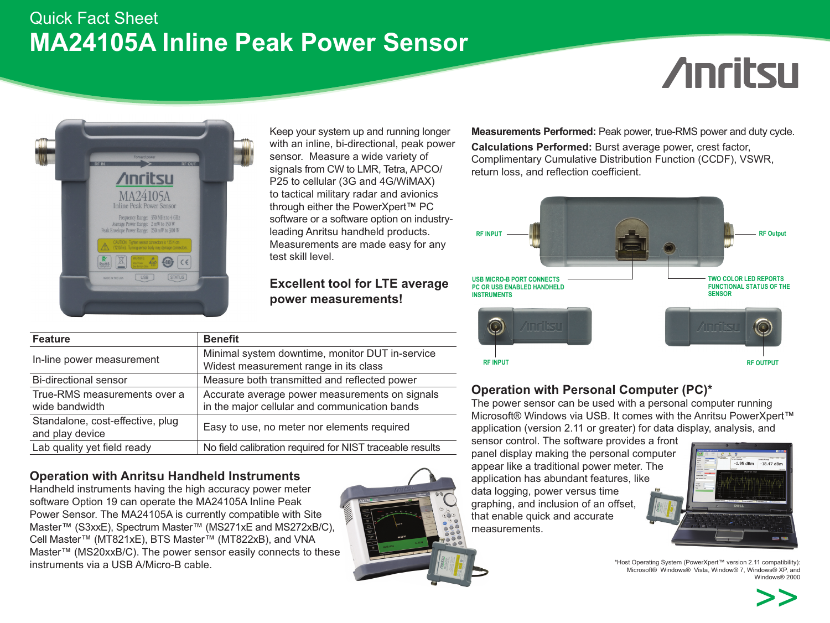## Quick Fact Sheet **MA24105A Inline Peak Power Sensor**

# **Anritsu**



Keep your system up and running longer with an inline, bi-directional, peak power sensor. Measure a wide variety of signals from CW to LMR, Tetra, APCO/ P25 to cellular (3G and 4G/WiMAX) to tactical military radar and avionics through either the PowerXpert™ PC software or a software option on industryleading Anritsu handheld products. Measurements are made easy for any test skill level.

### **Excellent tool for LTE average power measurements!**

| <b>Feature</b>                                      | <b>Benefit</b>                                                                                  |
|-----------------------------------------------------|-------------------------------------------------------------------------------------------------|
| In-line power measurement                           | Minimal system downtime, monitor DUT in-service<br>Widest measurement range in its class        |
| Bi-directional sensor                               | Measure both transmitted and reflected power                                                    |
| True-RMS measurements over a<br>wide bandwidth      | Accurate average power measurements on signals<br>in the major cellular and communication bands |
| Standalone, cost-effective, plug<br>and play device | Easy to use, no meter nor elements required                                                     |
| Lab quality yet field ready                         | No field calibration required for NIST traceable results                                        |
|                                                     |                                                                                                 |

### **Operation with Anritsu Handheld Instruments**

Handheld instruments having the high accuracy power meter software Option 19 can operate the MA24105A Inline Peak Power Sensor. The MA24105A is currently compatible with Site Master™ (S3xxE), Spectrum Master™ (MS271xE and MS272xB/C), Cell Master™ (MT821xE), BTS Master™ (MT822xB), and VNA Master™ (MS20xxB/C). The power sensor easily connects to these instruments via a USB A/Micro-B cable.



**Measurements Performed:** Peak power, true-RMS power and duty cycle.

**Calculations Performed:** Burst average power, crest factor, Complimentary Cumulative Distribution Function (CCDF), VSWR, return loss, and reflection coefficient.



### **Operation with Personal Computer (PC)\***

The power sensor can be used with a personal computer running Microsoft® Windows via USB. It comes with the Anritsu PowerXpert™ application (version 2.11 or greater) for data display, analysis, and

sensor control. The software provides a front panel display making the personal computer appear like a traditional power meter. The application has abundant features, like data logging, power versus time graphing, and inclusion of an offset, that enable quick and accurate measurements.



\*Host Operating System (PowerXpert™ version 2.11 compatibility): Microsoft® Windows® Vista, Window® 7, Windows® XP, and Windows® 2000